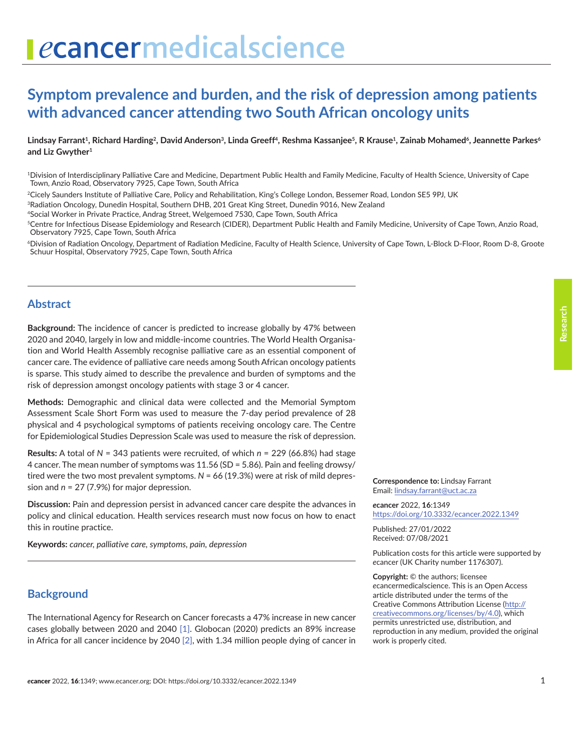# ecancermedicalscience

# **Symptom prevalence and burden, and the risk of depression among patients with advanced cancer attending two South African oncology units**

Lindsay Farrant<sup>1</sup>, Richard Harding<sup>2</sup>, David Anderson<sup>3</sup>, Linda Greeff<sup>4</sup>, Reshma Kassanjee<sup>5</sup>, R Krause<sup>1</sup>, Zainab Mohamed<sup>6</sup>, Jeannette Parkes<sup>6</sup> **and Liz Gwyther<sup>1</sup>**

<sup>1</sup>Division of Interdisciplinary Palliative Care and Medicine, Department Public Health and Family Medicine, Faculty of Health Science, University of Cape Town, Anzio Road, Observatory 7925, Cape Town, South Africa

<sup>2</sup>Cicely Saunders Institute of Palliative Care, Policy and Rehabilitation, King's College London, Bessemer Road, London SE5 9PJ, UK

<sup>3</sup>Radiation Oncology, Dunedin Hospital, Southern DHB, 201 Great King Street, Dunedin 9016, New Zealand

<sup>4</sup>Social Worker in Private Practice, Andrag Street, Welgemoed 7530, Cape Town, South Africa

<sup>5</sup>Centre for Infectious Disease Epidemiology and Research (CIDER), Department Public Health and Family Medicine, University of Cape Town, Anzio Road, Observatory 7925, Cape Town, South Africa

<sup>6</sup>Division of Radiation Oncology, Department of Radiation Medicine, Faculty of Health Science, University of Cape Town, L-Block D-Floor, Room D-8, Groote Schuur Hospital, Observatory 7925, Cape Town, South Africa

# **Abstract**

**Background:** The incidence of cancer is predicted to increase globally by 47% between 2020 and 2040, largely in low and middle-income countries. The World Health Organisation and World Health Assembly recognise palliative care as an essential component of cancer care. The evidence of palliative care needs among South African oncology patients is sparse. This study aimed to describe the prevalence and burden of symptoms and the risk of depression amongst oncology patients with stage 3 or 4 cancer.

**Methods:** Demographic and clinical data were collected and the Memorial Symptom Assessment Scale Short Form was used to measure the 7-day period prevalence of 28 physical and 4 psychological symptoms of patients receiving oncology care. The Centre for Epidemiological Studies Depression Scale was used to measure the risk of depression.

**Results:** A total of *N* = 343 patients were recruited, of which *n* = 229 (66.8%) had stage 4 cancer. The mean number of symptoms was 11.56 (SD = 5.86). Pain and feeling drowsy/ tired were the two most prevalent symptoms. *N* = 66 (19.3%) were at risk of mild depression and *n* = 27 (7.9%) for major depression.

**Discussion:** Pain and depression persist in advanced cancer care despite the advances in policy and clinical education. Health services research must now focus on how to enact this in routine practice.

**Keywords:** *cancer, palliative care, symptoms, pain, depression*

# **Background**

The International Agency for Research on Cancer forecasts a 47% increase in new cancer cases globally between 2020 and 2040 [\[1\]](#page-6-0). Globocan (2020) predicts an 89% increase in Africa for all cancer incidence by 2040 [\[2\],](#page-6-0) with 1.34 million people dying of cancer in **Correspondence to:** Lindsay Farrant Email: [lindsay.farrant@uct.ac.za](mailto:lindsay.farrant@uct.ac.za)

*e***cancer** 2022, **16**:1349 https://doi.org/10.3332/ecancer.2022.1349

Published: 27/01/2022 Received: 07/08/2021

Publication costs for this article were supported by *e*cancer (UK Charity number 1176307).

**Copyright:** © the authors; licensee *e*cancermedicalscience. This is an Open Access article distributed under the terms of the Creative Commons Attribution License (http:// creativecommons.org/licenses/by/4.0), which permits unrestricted use, distribution, and reproduction in any medium, provided the original work is properly cited.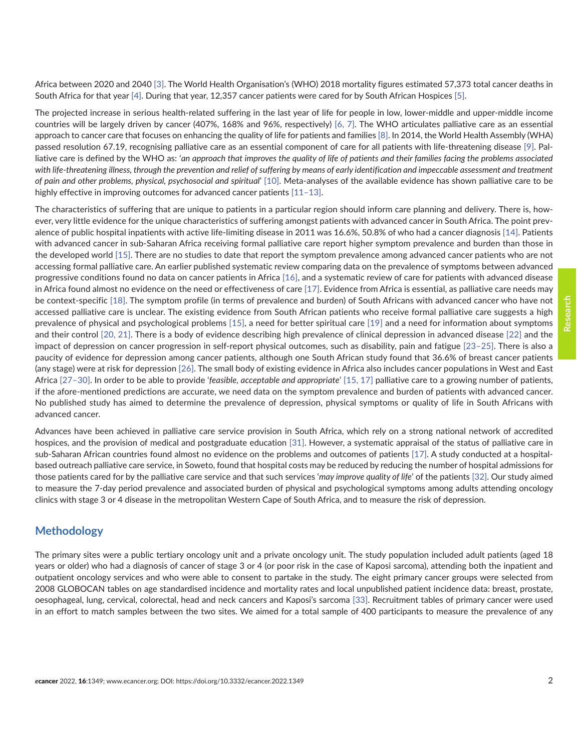Africa between 2020 and 2040 [\[3\].](#page-7-0) The World Health Organisation's (WHO) 2018 mortality figures estimated 57,373 total cancer deaths in South Africa for that year [\[4\]](#page-7-0). During that year, 12,357 cancer patients were cared for by South African Hospices [\[5\].](#page-7-0)

The projected increase in serious health-related suffering in the last year of life for people in low, lower-middle and upper-middle income countries will be largely driven by cancer (407%, 168% and 96%, respectively) [\[6, 7\].](#page-7-0) The WHO articulates palliative care as an essential approach to cancer care that focuses on enhancing the quality of life for patients and families [\[8\]](#page-7-0). In 2014, the World Health Assembly (WHA) passed resolution 67.19, recognising palliative care as an essential component of care for all patients with life-threatening disease [\[9\].](#page-7-0) Palliative care is defined by the WHO as: '*an approach that improves the quality of life of patients and their families facing the problems associated*  with life-threatening illness, through the prevention and relief of suffering by means of early identification and impeccable assessment and treatment *of pain and other problems, physical, psychosocial and spiritual*' [\[10\]](#page-7-0). Meta-analyses of the available evidence has shown palliative care to be highly effective in improving outcomes for advanced cancer patients [11-13].

The characteristics of suffering that are unique to patients in a particular region should inform care planning and delivery. There is, however, very little evidence for the unique characteristics of suffering amongst patients with advanced cancer in South Africa. The point prevalence of public hospital inpatients with active life-limiting disease in 2011 was 16.6%, 50.8% of who had a cancer diagnosis [\[14\]](#page-7-0). Patients with advanced cancer in sub-Saharan Africa receiving formal palliative care report higher symptom prevalence and burden than those in the developed world [\[15\].](#page-7-0) There are no studies to date that report the symptom prevalence among advanced cancer patients who are not accessing formal palliative care. An earlier published systematic review comparing data on the prevalence of symptoms between advanced progressive conditions found no data on cancer patients in Africa [\[16\],](#page-7-0) and a systematic review of care for patients with advanced disease in Africa found almost no evidence on the need or effectiveness of care [\[17\]](#page-7-0). Evidence from Africa is essential, as palliative care needs may be context-specific [\[18\]](#page-7-0). The symptom profile (in terms of prevalence and burden) of South Africans with advanced cancer who have not accessed palliative care is unclear. The existing evidence from South African patients who receive formal palliative care suggests a high prevalence of physical and psychological problems [\[15\],](#page-7-0) a need for better spiritual care [\[19\]](#page-7-0) and a need for information about symptoms and their control [\[20, 21\].](#page-8-0) There is a body of evidence describing high prevalence of clinical depression in advanced disease [\[22\]](#page-8-0) and the impact of depression on cancer progression in self-report physical outcomes, such as disability, pain and fatigue [\[23–25\].](#page-8-0) There is also a paucity of evidence for depression among cancer patients, although one South African study found that 36.6% of breast cancer patients (any stage) were at risk for depression [\[26\]](#page-8-0). The small body of existing evidence in Africa also includes cancer populations in West and East Africa [\[27–30\]](#page-8-0). In order to be able to provide '*feasible, acceptable and appropriate*' [\[15, 17\]](#page-7-0) palliative care to a growing number of patients, if the afore-mentioned predictions are accurate, we need data on the symptom prevalence and burden of patients with advanced cancer. No published study has aimed to determine the prevalence of depression, physical symptoms or quality of life in South Africans with advanced cancer.

Advances have been achieved in palliative care service provision in South Africa, which rely on a strong national network of accredited hospices, and the provision of medical and postgraduate education [\[31\].](#page-8-0) However, a systematic appraisal of the status of palliative care in sub-Saharan African countries found almost no evidence on the problems and outcomes of patients [\[17\].](#page-7-0) A study conducted at a hospitalbased outreach palliative care service, in Soweto, found that hospital costs may be reduced by reducing the number of hospital admissions for those patients cared for by the palliative care service and that such services '*may improve quality of life*' of the patients [\[32\].](#page-8-0) Our study aimed to measure the 7-day period prevalence and associated burden of physical and psychological symptoms among adults attending oncology clinics with stage 3 or 4 disease in the metropolitan Western Cape of South Africa, and to measure the risk of depression.

# **Methodology**

The primary sites were a public tertiary oncology unit and a private oncology unit. The study population included adult patients (aged 18 years or older) who had a diagnosis of cancer of stage 3 or 4 (or poor risk in the case of Kaposi sarcoma), attending both the inpatient and outpatient oncology services and who were able to consent to partake in the study. The eight primary cancer groups were selected from 2008 GLOBOCAN tables on age standardised incidence and mortality rates and local unpublished patient incidence data: breast, prostate, oesophageal, lung, cervical, colorectal, head and neck cancers and Kaposi's sarcoma [\[33\].](#page-8-0) Recruitment tables of primary cancer were used in an effort to match samples between the two sites. We aimed for a total sample of 400 participants to measure the prevalence of any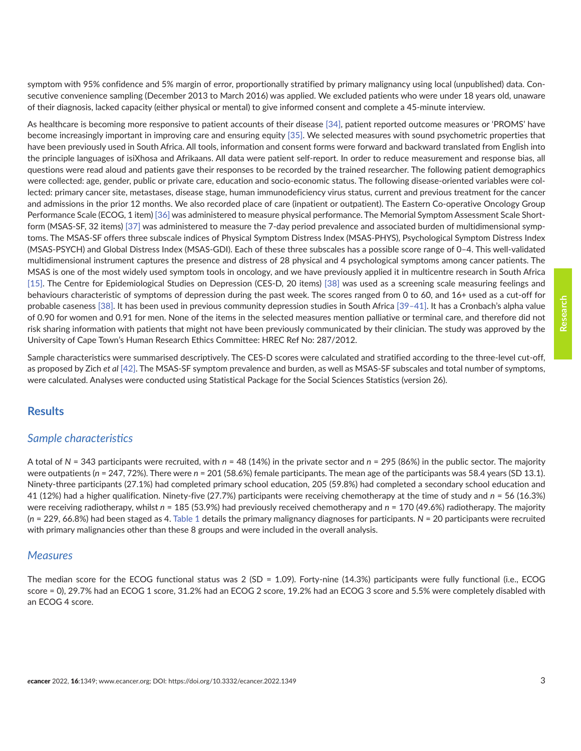symptom with 95% confidence and 5% margin of error, proportionally stratified by primary malignancy using local (unpublished) data. Consecutive convenience sampling (December 2013 to March 2016) was applied. We excluded patients who were under 18 years old, unaware of their diagnosis, lacked capacity (either physical or mental) to give informed consent and complete a 45-minute interview.

As healthcare is becoming more responsive to patient accounts of their disease [\[34\]](#page-8-0), patient reported outcome measures or 'PROMS' have become increasingly important in improving care and ensuring equity [\[35\]](#page-8-0). We selected measures with sound psychometric properties that have been previously used in South Africa. All tools, information and consent forms were forward and backward translated from English into the principle languages of isiXhosa and Afrikaans. All data were patient self-report. In order to reduce measurement and response bias, all questions were read aloud and patients gave their responses to be recorded by the trained researcher. The following patient demographics were collected: age, gender, public or private care, education and socio-economic status. The following disease-oriented variables were collected: primary cancer site, metastases, disease stage, human immunodeficiency virus status, current and previous treatment for the cancer and admissions in the prior 12 months. We also recorded place of care (inpatient or outpatient). The Eastern Co-operative Oncology Group Performance Scale (ECOG, 1 item) [\[36\]](#page-8-0) was administered to measure physical performance. The Memorial Symptom Assessment Scale Shortform (MSAS-SF, 32 items) [\[37\]](#page-8-0) was administered to measure the 7-day period prevalence and associated burden of multidimensional symptoms. The MSAS-SF offers three subscale indices of Physical Symptom Distress Index (MSAS-PHYS), Psychological Symptom Distress Index (MSAS-PSYCH) and Global Distress Index (MSAS-GDI). Each of these three subscales has a possible score range of 0–4. This well-validated multidimensional instrument captures the presence and distress of 28 physical and 4 psychological symptoms among cancer patients. The MSAS is one of the most widely used symptom tools in oncology, and we have previously applied it in multicentre research in South Africa [\[15\].](#page-7-0) The Centre for Epidemiological Studies on Depression (CES-D, 20 items) [\[38\]](#page-9-0) was used as a screening scale measuring feelings and behaviours characteristic of symptoms of depression during the past week. The scores ranged from 0 to 60, and 16+ used as a cut-off for probable caseness [\[38\]](#page-9-0). It has been used in previous community depression studies in South Africa [\[39–41\].](#page-9-0) It has a Cronbach's alpha value of 0.90 for women and 0.91 for men. None of the items in the selected measures mention palliative or terminal care, and therefore did not risk sharing information with patients that might not have been previously communicated by their clinician. The study was approved by the University of Cape Town's Human Research Ethics Committee: HREC Ref No: 287/2012.

Sample characteristics were summarised descriptively. The CES-D scores were calculated and stratified according to the three-level cut-off, as proposed by Zich *et al* [\[42\]](#page-9-0). The MSAS-SF symptom prevalence and burden, as well as MSAS-SF subscales and total number of symptoms, were calculated. Analyses were conducted using Statistical Package for the Social Sciences Statistics (version 26).

# **Results**

#### *Sample characteristics*

A total of *N* = 343 participants were recruited, with *n* = 48 (14%) in the private sector and *n* = 295 (86%) in the public sector. The majority were outpatients (n = 247, 72%). There were n = 201 (58.6%) female participants. The mean age of the participants was 58.4 years (SD 13.1). Ninety-three participants (27.1%) had completed primary school education, 205 (59.8%) had completed a secondary school education and 41 (12%) had a higher qualification. Ninety-five (27.7%) participants were receiving chemotherapy at the time of study and *n* = 56 (16.3%) were receiving radiotherapy, whilst *n* = 185 (53.9%) had previously received chemotherapy and *n* = 170 (49.6%) radiotherapy. The majority (*n* = 229, 66.8%) had been staged as 4. [Table 1](#page-3-0) details the primary malignancy diagnoses for participants. *N* = 20 participants were recruited with primary malignancies other than these 8 groups and were included in the overall analysis.

#### *Measures*

The median score for the ECOG functional status was 2 (SD = 1.09). Forty-nine (14.3%) participants were fully functional (i.e., ECOG score = 0), 29.7% had an ECOG 1 score, 31.2% had an ECOG 2 score, 19.2% had an ECOG 3 score and 5.5% were completely disabled with an ECOG 4 score.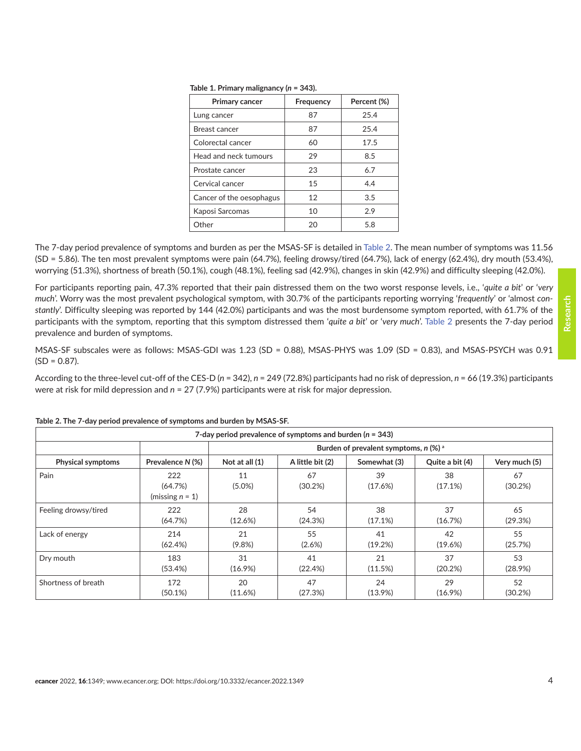| <b>Primary cancer</b>    | Frequency | Percent (%) |  |
|--------------------------|-----------|-------------|--|
| Lung cancer              | 87        | 25.4        |  |
| Breast cancer            | 87        | 25.4        |  |
| Colorectal cancer        | 60        | 17.5        |  |
| Head and neck tumours    | 29        | 8.5         |  |
| Prostate cancer          | 23        | 6.7         |  |
| Cervical cancer          | 15        | 4.4         |  |
| Cancer of the oesophagus | 12        | 3.5         |  |
| Kaposi Sarcomas          | 10        | 2.9         |  |
| Other                    | 20        | 5.8         |  |

<span id="page-3-0"></span>**Table 1. Primary malignancy (***n* **= 343).**

The 7-day period prevalence of symptoms and burden as per the MSAS-SF is detailed in Table 2. The mean number of symptoms was 11.56 (SD = 5.86). The ten most prevalent symptoms were pain (64.7%), feeling drowsy/tired (64.7%), lack of energy (62.4%), dry mouth (53.4%), worrying (51.3%), shortness of breath (50.1%), cough (48.1%), feeling sad (42.9%), changes in skin (42.9%) and difficulty sleeping (42.0%).

For participants reporting pain, 47.3% reported that their pain distressed them on the two worst response levels, i.e., '*quite a bit*' or '*very much*'. Worry was the most prevalent psychological symptom, with 30.7% of the participants reporting worrying '*frequently*' or 'almost *constantly*'. Difficulty sleeping was reported by 144 (42.0%) participants and was the most burdensome symptom reported, with 61.7% of the participants with the symptom, reporting that this symptom distressed them '*quite a bit*' or '*very much*'. Table 2 presents the 7-day period prevalence and burden of symptoms.

MSAS-SF subscales were as follows: MSAS-GDI was 1.23 (SD = 0.88), MSAS-PHYS was 1.09 (SD = 0.83), and MSAS-PSYCH was 0.91  $(SD = 0.87)$ .

According to the three-level cut-off of the CES-D (*n* = 342), *n* = 249 (72.8%) participants had no risk of depression, *n* = 66 (19.3%) participants were at risk for mild depression and *n* = 27 (7.9%) participants were at risk for major depression.

| 7-day period prevalence of symptoms and burden ( $n = 343$ ) |                                      |                                                |                  |               |                 |               |
|--------------------------------------------------------------|--------------------------------------|------------------------------------------------|------------------|---------------|-----------------|---------------|
|                                                              |                                      | Burden of prevalent symptoms, $n$ (%) $\alpha$ |                  |               |                 |               |
| <b>Physical symptoms</b>                                     | Prevalence N (%)                     | Not at all (1)                                 | A little bit (2) | Somewhat (3)  | Quite a bit (4) | Very much (5) |
| Pain                                                         | 222<br>(64.7%)<br>(missing $n = 1$ ) | 11<br>$(5.0\%)$                                | 67<br>(30.2%)    | 39<br>(17.6%) | 38<br>(17.1%)   | 67<br>(30.2%) |
| Feeling drowsy/tired                                         | 222                                  | 28                                             | 54               | 38            | 37              | 65            |
|                                                              | (64.7%)                              | (12.6%)                                        | (24.3%)          | (17.1%)       | (16.7%)         | (29.3%)       |
| Lack of energy                                               | 214                                  | 21                                             | 55               | 41            | 42              | 55            |
|                                                              | (62.4%)                              | $(9.8\%)$                                      | (2.6%)           | (19.2%)       | (19.6%)         | (25.7%)       |
| Dry mouth                                                    | 183                                  | 31                                             | 41               | 21            | 37              | 53            |
|                                                              | (53.4%)                              | $(16.9\%)$                                     | (22.4%)          | (11.5%)       | (20.2%)         | $(28.9\%)$    |
| Shortness of breath                                          | 172                                  | 20                                             | 47               | 24            | 29              | 52            |
|                                                              | $(50.1\%)$                           | (11.6%)                                        | (27.3%)          | $(13.9\%)$    | $(16.9\%)$      | (30.2%)       |

**Table 2. The 7-day period prevalence of symptoms and burden by MSAS-SF.**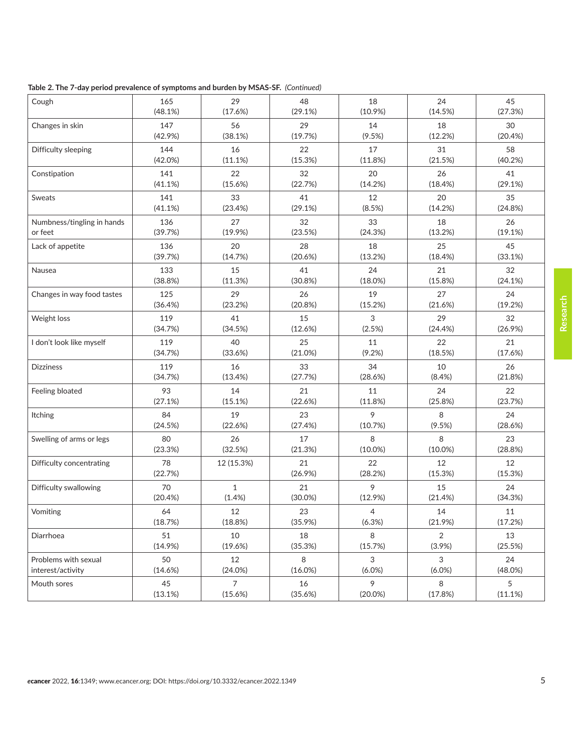| Table 2. The 7-day period prevalence of symptoms and burden by MSAS-SF. (Continued) |  |  |  |
|-------------------------------------------------------------------------------------|--|--|--|
|-------------------------------------------------------------------------------------|--|--|--|

| Cough                      | 165           | 29             | 48           | 18            | 24             | 45            |
|----------------------------|---------------|----------------|--------------|---------------|----------------|---------------|
|                            | (48.1%)       | (17.6%)        | (29.1%)      | $(10.9\%)$    | (14.5%)        | (27.3%)       |
| Changes in skin            | 147           | 56             | 29           | 14            | 18             | 30            |
|                            | (42.9%)       | (38.1%)        | (19.7%)      | $(9.5\%)$     | (12.2%)        | (20.4%)       |
| Difficulty sleeping        | 144           | 16             | 22           | 17            | 31             | 58            |
|                            | (42.0%)       | (11.1%)        | (15.3%)      | (11.8%)       | (21.5%)        | (40.2%)       |
| Constipation               | 141           | 22             | 32           | 20            | 26             | 41            |
|                            | (41.1%)       | (15.6%)        | (22.7%)      | (14.2%)       | (18.4%)        | (29.1%)       |
| Sweats                     | 141           | 33             | 41           | 12            | 20             | 35            |
|                            | (41.1%)       | (23.4%)        | (29.1%)      | (8.5%)        | (14.2%)        | (24.8%)       |
| Numbness/tingling in hands | 136           | 27             | 32           | 33            | 18             | 26            |
| or feet                    | (39.7%)       | (19.9%         | (23.5%)      | (24.3%)       | (13.2%)        | (19.1%)       |
| Lack of appetite           | 136           | 20             | 28           | 18            | 25             | 45            |
|                            | (39.7%)       | (14.7%)        | (20.6%)      | (13.2%)       | (18.4%)        | (33.1%)       |
| Nausea                     | 133           | 15             | 41           | 24            | 21             | 32            |
|                            | (38.8%)       | (11.3%)        | (30.8%)      | (18.0%)       | (15.8%)        | (24.1%)       |
| Changes in way food tastes | 125           | 29             | 26           | 19            | 27             | 24            |
|                            | (36.4%)       | (23.2%)        | (20.8%)      | (15.2%)       | (21.6%)        | (19.2%)       |
| Weight loss                | 119           | 41             | 15           | 3             | 29             | 32            |
|                            | (34.7%)       | (34.5%)        | (12.6%)      | (2.5%)        | (24.4%)        | (26.9%)       |
| I don't look like myself   | 119           | 40             | 25           | 11            | 22             | 21            |
|                            | (34.7%)       | (33.6%)        | (21.0%)      | (9.2%)        | (18.5%)        | (17.6%)       |
| <b>Dizziness</b>           | 119           | 16             | 33           | 34            | 10             | 26            |
|                            | (34.7%)       | (13.4%)        | (27.7%)      | (28.6%)       | (8.4%)         | (21.8%)       |
| Feeling bloated            | 93            | 14             | 21           | 11            | 24             | 22            |
|                            | (27.1%)       | (15.1%)        | (22.6%)      | (11.8%)       | (25.8%)        | (23.7%)       |
| <b>Itching</b>             | 84            | 19             | 23           | 9             | 8              | 24            |
|                            | (24.5%)       | (22.6%)        | (27.4%)      | (10.7%)       | (9.5%)         | (28.6%)       |
| Swelling of arms or legs   | 80            | 26             | 17           | 8             | 8              | 23            |
|                            | (23.3%)       | (32.5%)        | (21.3%)      | $(10.0\%)$    | $(10.0\%)$     | (28.8%)       |
| Difficulty concentrating   | 78<br>(22.7%) | 12 (15.3%)     | 21<br>(26.9% | 22<br>(28.2%) | 12<br>(15.3%)  | 12<br>(15.3%) |
| Difficulty swallowing      | 70            | $\mathbf{1}$   | 21           | 9             | 15             | 24            |
|                            | (20.4%)       | (1.4% )        | $(30.0\%)$   | $(12.9\%)$    | (21.4%)        | (34.3%)       |
| Vomiting                   | 64            | 12             | 23           | 4             | 14             | 11            |
|                            | (18.7%)       | (18.8%)        | (35.9%)      | (6.3%)        | (21.9%)        | (17.2%)       |
| Diarrhoea                  | 51            | 10             | 18           | 8             | $\overline{2}$ | 13            |
|                            | (14.9%)       | (19.6%)        | (35.3%)      | (15.7%)       | (3.9%)         | (25.5%)       |
| Problems with sexual       | 50            | 12             | 8            | 3             | 3              | 24            |
| interest/activity          | (14.6%)       | (24.0%)        | $(16.0\%)$   | $(6.0\%)$     | $(6.0\%)$      | (48.0%)       |
| Mouth sores                | 45            | $\overline{7}$ | 16           | 9             | 8              | 5             |
|                            | (13.1%)       | (15.6%)        | (35.6%)      | $(20.0\%)$    | (17.8%)        | (11.1%)       |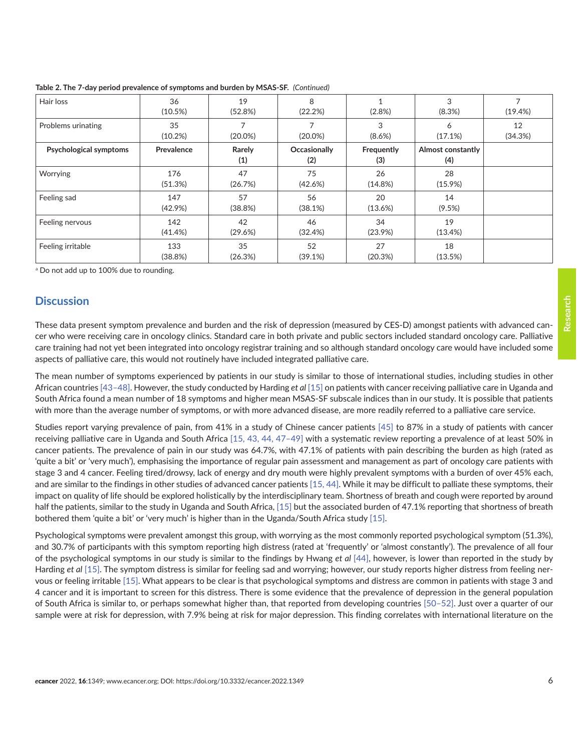| Hair loss              | 36<br>(10.5%)     | 19<br>(52.8%) | 8<br>(22.2%)        | (2.8% )           | 3<br>(8.3%)                     | (19.4%)       |
|------------------------|-------------------|---------------|---------------------|-------------------|---------------------------------|---------------|
| Problems urinating     | 35<br>(10.2%)     | $(20.0\%)$    | $(20.0\%)$          | 3<br>$(8.6\%)$    | 6<br>(17.1%)                    | 12<br>(34.3%) |
| Psychological symptoms | Prevalence        | Rarely<br>(1) | Occasionally<br>(2) | Frequently<br>(3) | <b>Almost constantly</b><br>(4) |               |
| Worrying               | 176<br>(51.3%)    | 47<br>(26.7%) | 75<br>(42.6%)       | 26<br>(14.8%)     | 28<br>$(15.9\%)$                |               |
| Feeling sad            | 147<br>$(42.9\%)$ | 57<br>(38.8%) | 56<br>(38.1%)       | 20<br>(13.6%)     | 14<br>(9.5%)                    |               |
| Feeling nervous        | 142<br>$(41.4\%)$ | 42<br>(29.6%) | 46<br>(32.4%)       | 34<br>$(23.9\%)$  | 19<br>(13.4%)                   |               |
| Feeling irritable      | 133<br>(38.8%)    | 35<br>(26.3%) | 52<br>(39.1%)       | 27<br>(20.3%)     | 18<br>(13.5%)                   |               |

**Table 2. The 7-day period prevalence of symptoms and burden by MSAS-SF.** *(Continued)*

a Do not add up to 100% due to rounding.

# **Discussion**

These data present symptom prevalence and burden and the risk of depression (measured by CES-D) amongst patients with advanced cancer who were receiving care in oncology clinics. Standard care in both private and public sectors included standard oncology care. Palliative care training had not yet been integrated into oncology registrar training and so although standard oncology care would have included some aspects of palliative care, this would not routinely have included integrated palliative care.

The mean number of symptoms experienced by patients in our study is similar to those of international studies, including studies in other African countries [\[43–48\]](#page-9-0). However, the study conducted by Harding *et al* [\[15\]](#page-7-0) on patients with cancer receiving palliative care in Uganda and South Africa found a mean number of 18 symptoms and higher mean MSAS-SF subscale indices than in our study. It is possible that patients with more than the average number of symptoms, or with more advanced disease, are more readily referred to a palliative care service.

Studies report varying prevalence of pain, from 41% in a study of Chinese cancer patients [\[45\]](#page-9-0) to 87% in a study of patients with cancer receiving palliative care in Uganda and South Africa [\[15,](#page-7-0) [43,](#page-9-0) [44,](#page-9-0) [47–49\]](#page-9-0) with a systematic review reporting a prevalence of at least 50% in cancer patients. The prevalence of pain in our study was 64.7%, with 47.1% of patients with pain describing the burden as high (rated as 'quite a bit' or 'very much'), emphasising the importance of regular pain assessment and management as part of oncology care patients with stage 3 and 4 cancer. Feeling tired/drowsy, lack of energy and dry mouth were highly prevalent symptoms with a burden of over 45% each, and are similar to the findings in other studies of advanced cancer patients [\[15,](#page-7-0) [44\]](#page-9-0). While it may be difficult to palliate these symptoms, their impact on quality of life should be explored holistically by the interdisciplinary team. Shortness of breath and cough were reported by around half the patients, similar to the study in Uganda and South Africa, [\[15\]](#page-7-0) but the associated burden of 47.1% reporting that shortness of breath bothered them 'quite a bit' or 'very much' is higher than in the Uganda/South Africa study [\[15\].](#page-7-0)

Psychological symptoms were prevalent amongst this group, with worrying as the most commonly reported psychological symptom (51.3%), and 30.7% of participants with this symptom reporting high distress (rated at 'frequently' or 'almost constantly'). The prevalence of all four of the psychological symptoms in our study is similar to the findings by Hwang *et al* [\[44\],](#page-9-0) however, is lower than reported in the study by Harding *et al* [\[15\]](#page-7-0). The symptom distress is similar for feeling sad and worrying; however, our study reports higher distress from feeling nervous or feeling irritable [\[15\].](#page-7-0) What appears to be clear is that psychological symptoms and distress are common in patients with stage 3 and 4 cancer and it is important to screen for this distress. There is some evidence that the prevalence of depression in the general population of South Africa is similar to, or perhaps somewhat higher than, that reported from developing countries [\[50–52\]](#page-9-0). Just over a quarter of our sample were at risk for depression, with 7.9% being at risk for major depression. This finding correlates with international literature on the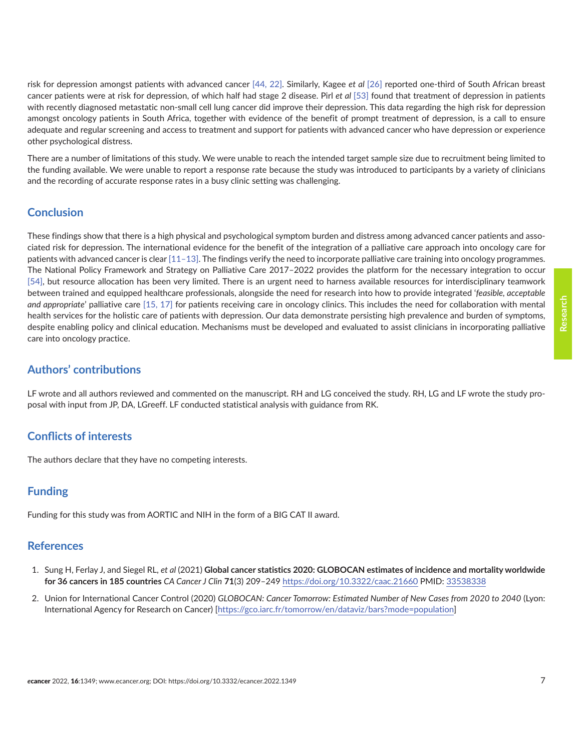<span id="page-6-0"></span>risk for depression amongst patients with advanced cancer [\[44,](#page-9-0) [22\]](#page-8-0). Similarly, Kagee *et al* [\[26\]](#page-8-0) reported one-third of South African breast cancer patients were at risk for depression, of which half had stage 2 disease. Pirl *et al* [\[53\]](#page-9-0) found that treatment of depression in patients with recently diagnosed metastatic non-small cell lung cancer did improve their depression. This data regarding the high risk for depression amongst oncology patients in South Africa, together with evidence of the benefit of prompt treatment of depression, is a call to ensure adequate and regular screening and access to treatment and support for patients with advanced cancer who have depression or experience other psychological distress.

There are a number of limitations of this study. We were unable to reach the intended target sample size due to recruitment being limited to the funding available. We were unable to report a response rate because the study was introduced to participants by a variety of clinicians and the recording of accurate response rates in a busy clinic setting was challenging.

# **Conclusion**

These findings show that there is a high physical and psychological symptom burden and distress among advanced cancer patients and associated risk for depression. The international evidence for the benefit of the integration of a palliative care approach into oncology care for patients with advanced cancer is clear [\[11–13\]](#page-7-0). The findings verify the need to incorporate palliative care training into oncology programmes. The National Policy Framework and Strategy on Palliative Care 2017–2022 provides the platform for the necessary integration to occur [\[54\],](#page-9-0) but resource allocation has been very limited. There is an urgent need to harness available resources for interdisciplinary teamwork between trained and equipped healthcare professionals, alongside the need for research into how to provide integrated '*feasible, acceptable and appropriate*' palliative care [\[15,](#page-7-0) [17\]](#page-7-0) for patients receiving care in oncology clinics. This includes the need for collaboration with mental health services for the holistic care of patients with depression. Our data demonstrate persisting high prevalence and burden of symptoms, despite enabling policy and clinical education. Mechanisms must be developed and evaluated to assist clinicians in incorporating palliative care into oncology practice.

# **Authors' contributions**

LF wrote and all authors reviewed and commented on the manuscript. RH and LG conceived the study. RH, LG and LF wrote the study proposal with input from JP, DA, LGreeff. LF conducted statistical analysis with guidance from RK.

# **Conflicts of interests**

The authors declare that they have no competing interests.

# **Funding**

Funding for this study was from AORTIC and NIH in the form of a BIG CAT II award.

# **References**

- 1. Sung H, Ferlay J, and Siegel RL, *et al* (2021) **Global cancer statistics 2020: GLOBOCAN estimates of incidence and mortality worldwide for 36 cancers in 185 countries** *CA Cancer J Clin* **71**(3) 209–249<https://doi.org/10.3322/caac.21660>PMID: [33538338](http://www.ncbi.nlm.nih.gov/pubmed/33538338)
- 2. Union for International Cancer Control (2020) *GLOBOCAN: Cancer Tomorrow: Estimated Number of New Cases from 2020 to 2040* (Lyon: International Agency for Research on Cancer) [<https://gco.iarc.fr/tomorrow/en/dataviz/bars?mode=population>]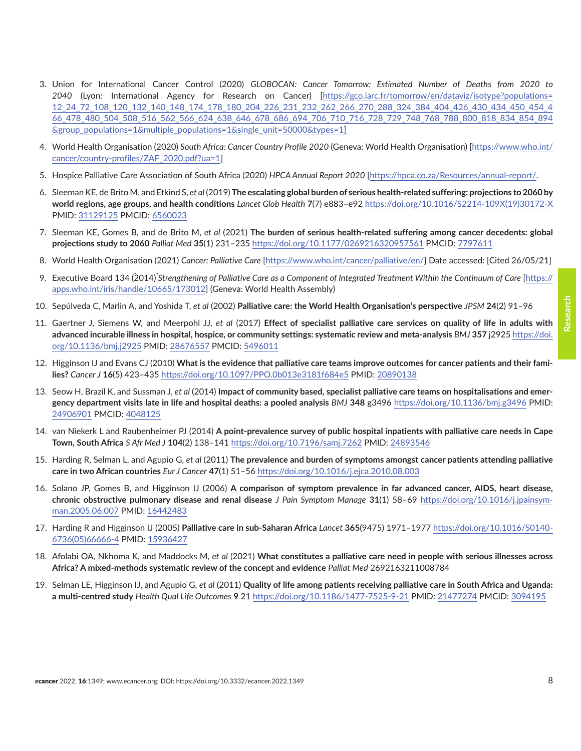- <span id="page-7-0"></span>3. Union for International Cancer Control (2020) *GLOBOCAN: Cancer Tomorrow: Estimated Number of Deaths from 2020 to 2040* (Lyon: International Agency for Research on Cancer) [\[https://gco.iarc.fr/tomorrow/en/dataviz/isotype?populations=](https://gco.iarc.fr/tomorrow/en/dataviz/isotype?populations=12_24_72_108_120_132_140_148_174_178_180_204_226_231_232_262_266_270_288_324_384_404_426_430_434_450_454_466_478_480_504_508_516_562_566_624_638_646_678_686_694_706_710_716_728_729_748_768_788_800_818_834_854_894&group_populations=1&multiple_populations=1&single_unit=50000&types=1) [12\\_24\\_72\\_108\\_120\\_132\\_140\\_148\\_174\\_178\\_180\\_204\\_226\\_231\\_232\\_262\\_266\\_270\\_288\\_324\\_384\\_404\\_426\\_430\\_434\\_450\\_454\\_4](https://gco.iarc.fr/tomorrow/en/dataviz/isotype?populations=12_24_72_108_120_132_140_148_174_178_180_204_226_231_232_262_266_270_288_324_384_404_426_430_434_450_454_466_478_480_504_508_516_562_566_624_638_646_678_686_694_706_710_716_728_729_748_768_788_800_818_834_854_894&group_populations=1&multiple_populations=1&single_unit=50000&types=1) [66\\_478\\_480\\_504\\_508\\_516\\_562\\_566\\_624\\_638\\_646\\_678\\_686\\_694\\_706\\_710\\_716\\_728\\_729\\_748\\_768\\_788\\_800\\_818\\_834\\_854\\_894](https://gco.iarc.fr/tomorrow/en/dataviz/isotype?populations=12_24_72_108_120_132_140_148_174_178_180_204_226_231_232_262_266_270_288_324_384_404_426_430_434_450_454_466_478_480_504_508_516_562_566_624_638_646_678_686_694_706_710_716_728_729_748_768_788_800_818_834_854_894&group_populations=1&multiple_populations=1&single_unit=50000&types=1) [&group\\_populations=1&multiple\\_populations=1&single\\_unit=50000&types=1](https://gco.iarc.fr/tomorrow/en/dataviz/isotype?populations=12_24_72_108_120_132_140_148_174_178_180_204_226_231_232_262_266_270_288_324_384_404_426_430_434_450_454_466_478_480_504_508_516_562_566_624_638_646_678_686_694_706_710_716_728_729_748_768_788_800_818_834_854_894&group_populations=1&multiple_populations=1&single_unit=50000&types=1)]
- 4. World Health Organisation (2020) *South Africa: Cancer Country Profile 2020* (Geneva: World Health Organisation) [[https://www.who.int/](https://www.who.int/cancer/country-profiles/ZAF_2020.pdf?ua=1) [cancer/country-profiles/ZAF\\_2020.pdf?ua=1](https://www.who.int/cancer/country-profiles/ZAF_2020.pdf?ua=1)]
- 5. Hospice Palliative Care Association of South Africa (2020) *HPCA Annual Report 2020* [<https://hpca.co.za/Resources/annual-report/>.
- 6. Sleeman KE, de Brito M, and Etkind S, *et al* (2019) **The escalating global burden of serious health-related suffering: projections to 2060 by world regions, age groups, and health conditions** *Lancet Glob Health* **7**(7) e883–e92 [https://doi.org/10.1016/S2214-109X\(19\)30172-X](https://doi.org/10.1016/S2214-109X(19)30172-X) PMID: [31129125](http://www.ncbi.nlm.nih.gov/pubmed/31129125) PMCID: [6560023](http://www.ncbi.nlm.nih.gov/pmc/articles/PMC6560023)
- 7. Sleeman KE, Gomes B, and de Brito M, *et al* (2021) **The burden of serious health-related suffering among cancer decedents: global projections study to 2060** *Palliat Med* **35**(1) 231–235 <https://doi.org/10.1177/0269216320957561>PMCID: [7797611](http://www.ncbi.nlm.nih.gov/pmc/articles/PMC7797611)
- 8. World Health Organisation (2021) *Cancer: Palliative Care* [\[https://www.who.int/cancer/palliative/en/\]](https://www.who.int/cancer/palliative/en/) Date accessed: [Cited 26/05/21]
- 9. Executive Board 134 (2014)*Strengthening of Palliative Care as a Component of Integrated Treatment Within the Continuum of Care* [\[https://](https://apps.who.int/iris/handle/10665/173012) [apps.who.int/iris/handle/10665/173012\]](https://apps.who.int/iris/handle/10665/173012) (Geneva: World Health Assembly)
- 10. Sepúlveda C, Marlin A, and Yoshida T, *et al* (2002) **Palliative care: the World Health Organisation's perspective** *JPSM* **24**(2) 91–96
- 11. Gaertner J, Siemens W, and Meerpohl JJ, *et al* (2017) **Effect of specialist palliative care services on quality of life in adults with advanced incurable illness in hospital, hospice, or community settings: systematic review and meta-analysis** *BMJ* **357** j2925 [https://doi.](https://doi.org/10.1136/bmj.j2925) [org/10.1136/bmj.j2925](https://doi.org/10.1136/bmj.j2925) PMID: [28676557](http://www.ncbi.nlm.nih.gov/pubmed/28676557) PMCID: [5496011](http://www.ncbi.nlm.nih.gov/pmc/articles/PMC5496011)
- 12. Higginson IJ and Evans CJ (2010) **What is the evidence that palliative care teams improve outcomes for cancer patients and their families?** *Cancer J* **16**(5) 423–435<https://doi.org/10.1097/PPO.0b013e3181f684e5>PMID: [20890138](http://www.ncbi.nlm.nih.gov/pubmed/20890138)
- 13. Seow H, Brazil K, and Sussman J, *et al* (2014) **Impact of community based, specialist palliative care teams on hospitalisations and emergency department visits late in life and hospital deaths: a pooled analysis** *BMJ* **348** g3496<https://doi.org/10.1136/bmj.g3496>PMID: [24906901](http://www.ncbi.nlm.nih.gov/pubmed/24906901) PMCID: [4048125](http://www.ncbi.nlm.nih.gov/pmc/articles/PMC4048125)
- 14. van Niekerk L and Raubenheimer PJ (2014) **A point-prevalence survey of public hospital inpatients with palliative care needs in Cape Town, South Africa** *S Afr Med J* **104**(2) 138–141 <https://doi.org/10.7196/samj.7262>PMID: [24893546](http://www.ncbi.nlm.nih.gov/pubmed/24893546)
- 15. Harding R, Selman L, and Agupio G, *et al* (2011) **The prevalence and burden of symptoms amongst cancer patients attending palliative care in two African countries** *Eur J Cancer* **47**(1) 51–56 <https://doi.org/10.1016/j.ejca.2010.08.003>
- 16. Solano JP, Gomes B, and Higginson IJ (2006) **A comparison of symptom prevalence in far advanced cancer, AIDS, heart disease, chronic obstructive pulmonary disease and renal disease** *J Pain Symptom Manage* **31**(1) 58–69 [https://doi.org/10.1016/j.jpainsym](https://doi.org/10.1016/j.jpainsymman.2005.06.007)[man.2005.06.007](https://doi.org/10.1016/j.jpainsymman.2005.06.007) PMID: [16442483](http://www.ncbi.nlm.nih.gov/pubmed/16442483)
- 17. Harding R and Higginson IJ (2005) **Palliative care in sub-Saharan Africa** *Lancet* **365**(9475) 1971–1977 [https://doi.org/10.1016/S0140-](https://doi.org/10.1016/S0140-6736(05)66666-4) [6736\(05\)66666-4](https://doi.org/10.1016/S0140-6736(05)66666-4) PMID: [15936427](http://www.ncbi.nlm.nih.gov/pubmed/15936427)
- 18. Afolabi OA, Nkhoma K, and Maddocks M, *et al* (2021) **What constitutes a palliative care need in people with serious illnesses across Africa? A mixed-methods systematic review of the concept and evidence** *Palliat Med* 2692163211008784
- 19. Selman LE, Higginson IJ, and Agupio G, *et al* (2011) **Quality of life among patients receiving palliative care in South Africa and Uganda: a multi-centred study** *Health Qual Life Outcomes* **9** 21 <https://doi.org/10.1186/1477-7525-9-21> PMID: [21477274](http://www.ncbi.nlm.nih.gov/pubmed/21477274) PMCID: [3094195](http://www.ncbi.nlm.nih.gov/pmc/articles/PMC3094195)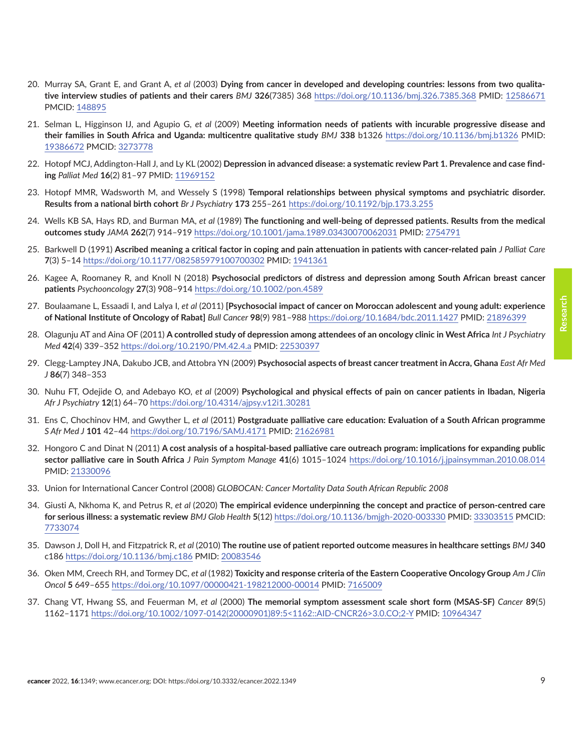- <span id="page-8-0"></span>20. Murray SA, Grant E, and Grant A, *et al* (2003) **Dying from cancer in developed and developing countries: lessons from two qualitative interview studies of patients and their carers** *BMJ* **326**(7385) 368 <https://doi.org/10.1136/bmj.326.7385.368>PMID: [12586671](http://www.ncbi.nlm.nih.gov/pubmed/12586671) PMCID: [148895](http://www.ncbi.nlm.nih.gov/pmc/articles/PMC148895)
- 21. Selman L, Higginson IJ, and Agupio G, *et al* (2009) **Meeting information needs of patients with incurable progressive disease and their families in South Africa and Uganda: multicentre qualitative study** *BMJ* **338** b1326 <https://doi.org/10.1136/bmj.b1326> PMID: [19386672](http://www.ncbi.nlm.nih.gov/pubmed/19386672) PMCID: [3273778](http://www.ncbi.nlm.nih.gov/pmc/articles/PMC3273778)
- 22. Hotopf MCJ, Addington-Hall J, and Ly KL (2002) **Depression in advanced disease: a systematic review Part 1. Prevalence and case finding** *Palliat Med* **16**(2) 81–97 PMID: [11969152](http://www.ncbi.nlm.nih.gov/pubmed/11969152)
- 23. Hotopf MMR, Wadsworth M, and Wessely S (1998) **Temporal relationships between physical symptoms and psychiatric disorder. Results from a national birth cohort** *Br J Psychiatry* **173** 255–261<https://doi.org/10.1192/bjp.173.3.255>
- 24. Wells KB SA, Hays RD, and Burman MA, *et al* (1989) **The functioning and well-being of depressed patients. Results from the medical outcomes study** *JAMA* **262**(7) 914–919 <https://doi.org/10.1001/jama.1989.03430070062031>PMID: [2754791](http://www.ncbi.nlm.nih.gov/pubmed/2754791)
- 25. Barkwell D (1991) **Ascribed meaning a critical factor in coping and pain attenuation in patients with cancer-related pain** *J Palliat Care* **7**(3) 5–14 <https://doi.org/10.1177/082585979100700302>PMID: [1941361](http://www.ncbi.nlm.nih.gov/pubmed/1941361)
- 26. Kagee A, Roomaney R, and Knoll N (2018) **Psychosocial predictors of distress and depression among South African breast cancer patients** *Psychooncology* **27**(3) 908–914<https://doi.org/10.1002/pon.4589>
- 27. Boulaamane L, Essaadi I, and Lalya I, *et al* (2011) **[Psychosocial impact of cancer on Moroccan adolescent and young adult: experience of National Institute of Oncology of Rabat]** *Bull Cancer* **98**(9) 981–988<https://doi.org/10.1684/bdc.2011.1427> PMID: [21896399](http://www.ncbi.nlm.nih.gov/pubmed/21896399)
- 28. Olagunju AT and Aina OF (2011) **A controlled study of depression among attendees of an oncology clinic in West Africa** *Int J Psychiatry Med* **42**(4) 339–352 <https://doi.org/10.2190/PM.42.4.a> PMID: [22530397](http://www.ncbi.nlm.nih.gov/pubmed/22530397)
- 29. Clegg-Lamptey JNA, Dakubo JCB, and Attobra YN (2009) **Psychosocial aspects of breast cancer treatment in Accra, Ghana** *East Afr Med J* **86**(7) 348–353
- 30. Nuhu FT, Odejide O, and Adebayo KO, *et al* (2009) **Psychological and physical effects of pain on cancer patients in Ibadan, Nigeria** *Afr J Psychiatry* **12**(1) 64–70<https://doi.org/10.4314/ajpsy.v12i1.30281>
- 31. Ens C, Chochinov HM, and Gwyther L, *et al* (2011) **Postgraduate palliative care education: Evaluation of a South African programme** *S Afr Med J* **101** 42–44 <https://doi.org/10.7196/SAMJ.4171>PMID: [21626981](http://www.ncbi.nlm.nih.gov/pubmed/21626981)
- 32. Hongoro C and Dinat N (2011) **A cost analysis of a hospital-based palliative care outreach program: implications for expanding public sector palliative care in South Africa** *J Pain Symptom Manage* **41**(6) 1015–1024 <https://doi.org/10.1016/j.jpainsymman.2010.08.014> PMID: [21330096](http://www.ncbi.nlm.nih.gov/pubmed/21330096)
- 33. Union for International Cancer Control (2008) *GLOBOCAN: Cancer Mortality Data South African Republic 2008*
- 34. Giusti A, Nkhoma K, and Petrus R, *et al* (2020) **The empirical evidence underpinning the concept and practice of person-centred care for serious illness: a systematic review** *BMJ Glob Health* **5**(12)<https://doi.org/10.1136/bmjgh-2020-003330>PMID: [33303515](http://www.ncbi.nlm.nih.gov/pubmed/33303515) PMCID: [7733074](http://www.ncbi.nlm.nih.gov/pmc/articles/PMC7733074)
- 35. Dawson J, Doll H, and Fitzpatrick R, *et al* (2010) **The routine use of patient reported outcome measures in healthcare settings** *BMJ* **340** c186<https://doi.org/10.1136/bmj.c186> PMID: [20083546](http://www.ncbi.nlm.nih.gov/pubmed/20083546)
- 36. Oken MM, Creech RH, and Tormey DC, *et al* (1982) **Toxicity and response criteria of the Eastern Cooperative Oncology Group** *Am J Clin Oncol* **5** 649–655 <https://doi.org/10.1097/00000421-198212000-00014>PMID: [7165009](http://www.ncbi.nlm.nih.gov/pubmed/7165009)
- 37. Chang VT, Hwang SS, and Feuerman M, *et al* (2000) **The memorial symptom assessment scale short form (MSAS-SF)** *Cancer* **89**(5) 1162–1171 [https://doi.org/10.1002/1097-0142\(20000901\)89:5<1162::AID-CNCR26>3.0.CO;2-Y](https://doi.org/10.1002/1097-0142(20000901)89:5<1162::AID-CNCR26>3.0.CO;2-Y) PMID: [10964347](http://www.ncbi.nlm.nih.gov/pubmed/10964347)